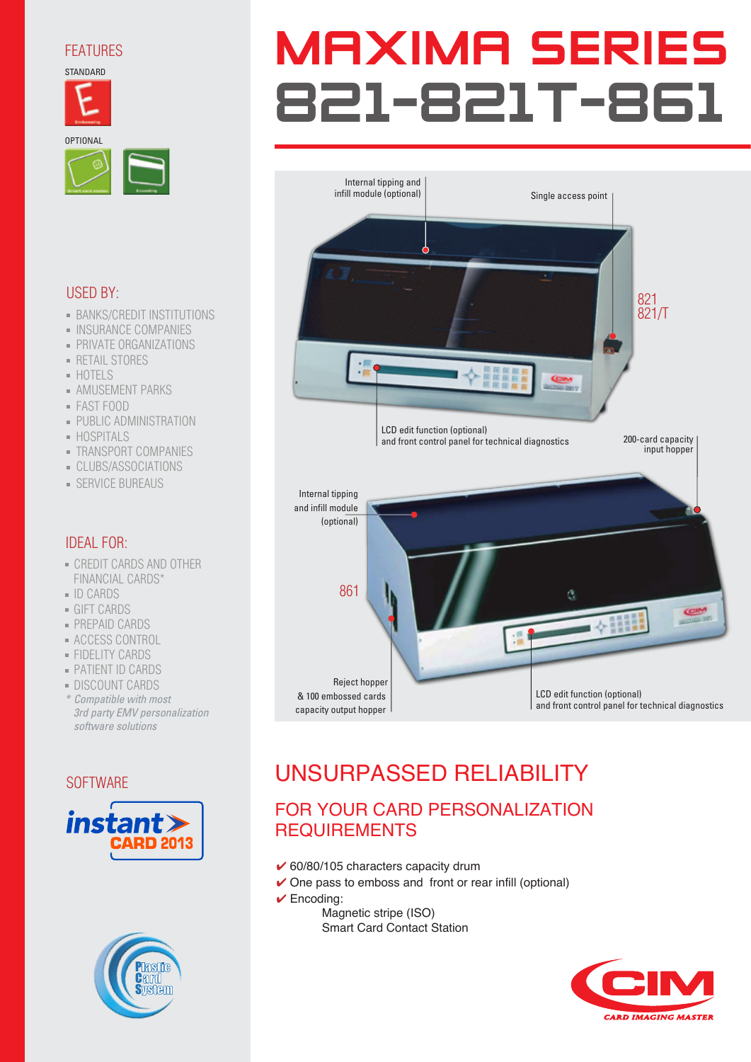## FEATURES

**STANDARD** 







## USED BY:

- **BANKS/CREDIT INSTITUTIONS**
- INSURANCE COMPANIES
- PRIVATE ORGANIZATIONS
- RETAIL STORES
- HOTELS
- AMUSEMENT PARKS
- FAST FOOD
- **PUBLIC ADMINISTRATION**
- HOSPITALS
- TRANSPORT COMPANIES
- CLUBS/ASSOCIATIONS
- SERVICE BUREAUS

## IDEAL FOR:

- CREDIT CARDS AND OTHER FINANCIAL CARDS\*
- ID CARDS
- GIFT CARDS
- PREPAID CARDS
- ACCESS CONTROL
- FIDELITY CARDS
- PATIENT ID CARDS
- DISCOUNT CARDS
- *\* Compatible with most 3rd party EMV personalization software solutions*

**SOFTWARE** 





# **MAXIMA SERIES** 821-821T-861



# UNSURPASSED RELIABILITY

## FOR YOUR CARD PERSONALIZATION **REQUIREMENTS**

- $\checkmark$  60/80/105 characters capacity drum
- ✔ One pass to emboss and front or rear infill (optional)
- $\checkmark$  Encoding:
	- Magnetic stripe (ISO) Smart Card Contact Station